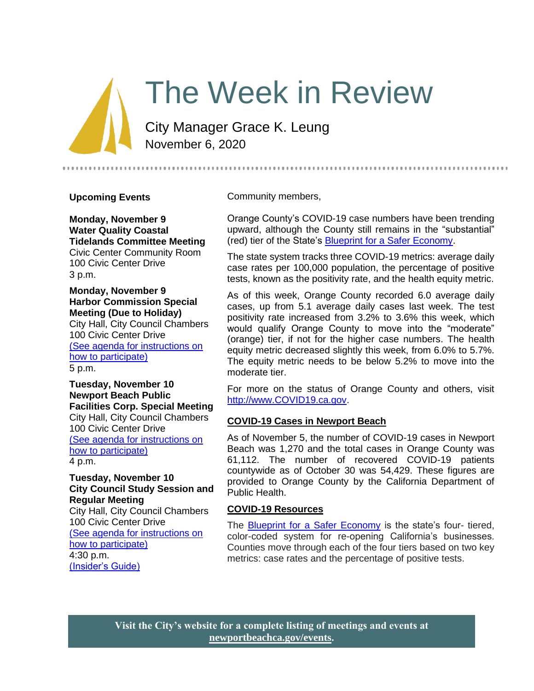# The Week in Review

City Manager Grace K. Leung November 6, 2020

#### **Upcoming Events**

**Monday, November 9 Water Quality Coastal Tidelands Committee Meeting** Civic Center Community Room 100 Civic Center Drive 3 p.m.

**Monday, November 9 Harbor Commission Special Meeting (Due to Holiday)**

City Hall, City Council Chambers 100 Civic Center Drive [\(See agenda for instructions on](https://newportbeachca.gov/Home/Components/Calendar/Event/64730/72)  [how to participate\)](https://newportbeachca.gov/Home/Components/Calendar/Event/64730/72) 5 p.m.

**Tuesday, November 10 Newport Beach Public Facilities Corp. Special Meeting** City Hall, City Council Chambers 100 Civic Center Drive [\(See agenda for instructions on](https://newportbeachca.gov/Home/Components/Calendar/Event/64962/72)  [how to participate\)](https://newportbeachca.gov/Home/Components/Calendar/Event/64962/72) 4 p.m.

#### **Tuesday, November 10 City Council Study Session and Regular Meeting**

City Hall, City Council Chambers 100 Civic Center Drive [\(See agenda for instructions on](https://newportbeachca.gov/Home/Components/Calendar/Event/64237/72)  [how to participate\)](https://newportbeachca.gov/Home/Components/Calendar/Event/64237/72) 4:30 p.m. [\(Insider's Guide\)](https://newportbeachca.gov/government/departments/city-manager-s-office/insider-s-guide)

Community members,

Orange County's COVID-19 case numbers have been trending upward, although the County still remains in the "substantial" (red) tier of the State's [Blueprint for a Safer Economy.](https://covid19.ca.gov/safer-economy/)

The state system tracks three COVID-19 metrics: average daily case rates per 100,000 population, the percentage of positive tests, known as the positivity rate, and the health equity metric.

As of this week, Orange County recorded 6.0 average daily cases, up from 5.1 average daily cases last week. The test positivity rate increased from 3.2% to 3.6% this week, which would qualify Orange County to move into the "moderate" (orange) tier, if not for the higher case numbers. The health equity metric decreased slightly this week, from 6.0% to 5.7%. The equity metric needs to be below 5.2% to move into the moderate tier.

For more on the status of Orange County and others, visit [http://www.COVID19.ca.gov.](http://www.covid19.ca.gov/)

## **COVID-19 Cases in Newport Beach**

As of November 5, the number of COVID-19 cases in Newport Beach was 1,270 and the total cases in Orange County was 61,112. The number of recovered COVID-19 patients countywide as of October 30 was 54,429. These figures are provided to Orange County by the California Department of Public Health.

#### **COVID-19 Resources**

The **Blueprint for a Safer Economy** is the state's four- tiered, color-coded system for re-opening California's businesses. Counties move through each of the four tiers based on two key metrics: case rates and the percentage of positive tests.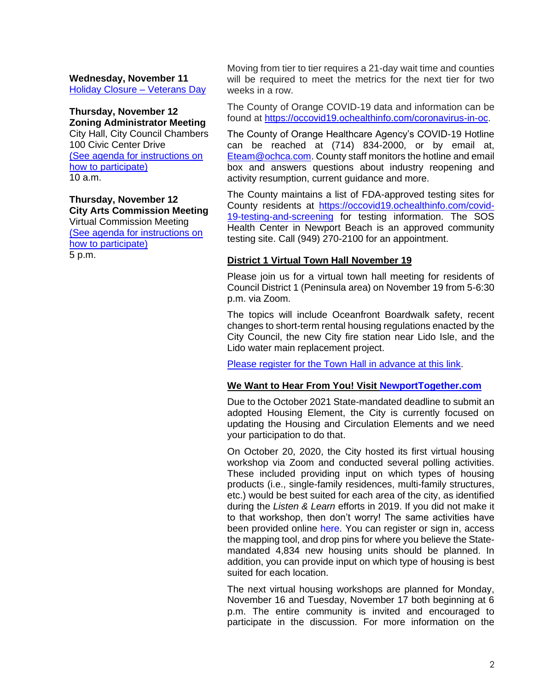**Wednesday, November 11** [Holiday Closure –](https://newportbeachca.gov/Home/Components/Calendar/Event/63693/72) Veterans Day

#### **Thursday, November 12 Zoning Administrator Meeting**

City Hall, City Council Chambers 100 Civic Center Drive [\(See agenda for instructions on](https://newportbeachca.gov/Home/Components/Calendar/Event/60088/72)  [how to participate\)](https://newportbeachca.gov/Home/Components/Calendar/Event/60088/72) 10 a.m.

**Thursday, November 12 City Arts Commission Meeting** Virtual Commission Meeting

[\(See agenda for instructions on](https://newportbeachca.gov/Home/Components/Calendar/Event/58887/72)  [how to participate\)](https://newportbeachca.gov/Home/Components/Calendar/Event/58887/72) 5 p.m.

Moving from tier to tier requires a 21-day wait time and counties will be required to meet the metrics for the next tier for two weeks in a row.

The County of Orange COVID-19 data and information can be found at [https://occovid19.ochealthinfo.com/coronavirus-in-oc.](https://occovid19.ochealthinfo.com/coronavirus-in-oc)

The County of Orange Healthcare Agency's COVID-19 Hotline can be reached at (714) 834-2000, or by email at, [Eteam@ochca.com.](mailto:Eteam@ochca.com) County staff monitors the hotline and email box and answers questions about industry reopening and activity resumption, current guidance and more.

The County maintains a list of FDA-approved testing sites for County residents at [https://occovid19.ochealthinfo.com/covid-](https://occovid19.ochealthinfo.com/covid-19-testing-and-screening)[19-testing-and-screening](https://occovid19.ochealthinfo.com/covid-19-testing-and-screening) for testing information. The SOS Health Center in Newport Beach is an approved community testing site. Call (949) 270-2100 for an appointment.

## **District 1 Virtual Town Hall November 19**

Please join us for a virtual town hall meeting for residents of Council District 1 (Peninsula area) on November 19 from 5-6:30 p.m. via Zoom.

The topics will include Oceanfront Boardwalk safety, recent changes to short-term rental housing regulations enacted by the City Council, the new City fire station near Lido Isle, and the Lido water main replacement project.

[Please register for the Town Hall in advance at this link.](https://zoom.us/webinar/register/WN_vu39EhAeTkWJ-33GOz3nxA)

## **We Want to Hear From You! Visit [NewportTogether.com](http://www.newporttogether.com/)**

Due to the October 2021 State-mandated deadline to submit an adopted Housing Element, the City is currently focused on updating the Housing and Circulation Elements and we need your participation to do that.

On October 20, 2020, the City hosted its first virtual housing workshop via Zoom and conducted several polling activities. These included providing input on which types of housing products (i.e., single-family residences, multi-family structures, etc.) would be best suited for each area of the city, as identified during the *Listen & Learn* efforts in 2019. If you did not make it to that workshop, then don't worry! The same activities have been provided online [here.](https://www.newporttogether.com/virtual_workshop?tool=map#tool_tab) You can register or sign in, access the mapping tool, and drop pins for where you believe the Statemandated 4,834 new housing units should be planned. In addition, you can provide input on which type of housing is best suited for each location.

The next virtual housing workshops are planned for Monday, November 16 and Tuesday, November 17 both beginning at 6 p.m. The entire community is invited and encouraged to participate in the discussion. For more information on the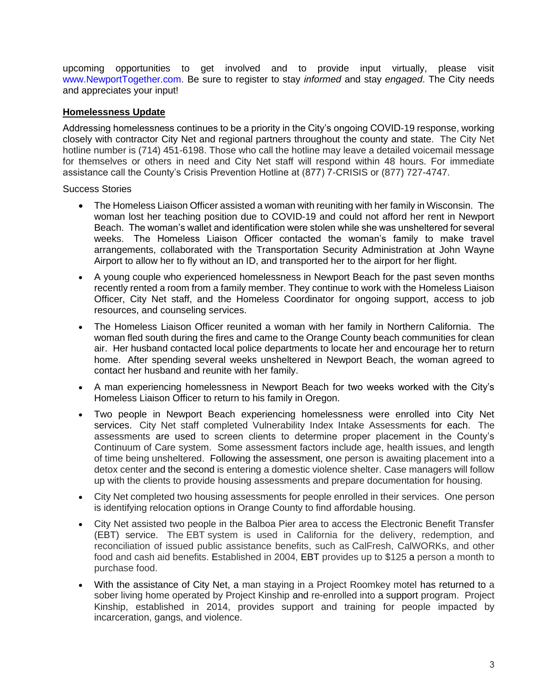upcoming opportunities to get involved and to provide input virtually, please visit [www.NewportTogether.com.](http://www.newporttogether.com/) Be sure to register to stay *informed* and stay *engaged*. The City needs and appreciates your input!

# **Homelessness Update**

Addressing homelessness continues to be a priority in the City's ongoing COVID-19 response, working closely with contractor City Net and regional partners throughout the county and state. The City Net hotline number is (714) 451-6198. Those who call the hotline may leave a detailed voicemail message for themselves or others in need and City Net staff will respond within 48 hours. For immediate assistance call the County's Crisis Prevention Hotline at (877) 7-CRISIS or (877) 727-4747.

Success Stories

- The Homeless Liaison Officer assisted a woman with reuniting with her family in Wisconsin. The woman lost her teaching position due to COVID-19 and could not afford her rent in Newport Beach. The woman's wallet and identification were stolen while she was unsheltered for several weeks. The Homeless Liaison Officer contacted the woman's family to make travel arrangements, collaborated with the Transportation Security Administration at John Wayne Airport to allow her to fly without an ID, and transported her to the airport for her flight.
- A young couple who experienced homelessness in Newport Beach for the past seven months recently rented a room from a family member. They continue to work with the Homeless Liaison Officer, City Net staff, and the Homeless Coordinator for ongoing support, access to job resources, and counseling services.
- The Homeless Liaison Officer reunited a woman with her family in Northern California. The woman fled south during the fires and came to the Orange County beach communities for clean air. Her husband contacted local police departments to locate her and encourage her to return home. After spending several weeks unsheltered in Newport Beach, the woman agreed to contact her husband and reunite with her family.
- A man experiencing homelessness in Newport Beach for two weeks worked with the City's Homeless Liaison Officer to return to his family in Oregon.
- Two people in Newport Beach experiencing homelessness were enrolled into City Net services. City Net staff completed Vulnerability Index Intake Assessments for each. The assessments are used to screen clients to determine proper placement in the County's Continuum of Care system. Some assessment factors include age, health issues, and length of time being unsheltered. Following the assessment, one person is awaiting placement into a detox center and the second is entering a domestic violence shelter. Case managers will follow up with the clients to provide housing assessments and prepare documentation for housing.
- City Net completed two housing assessments for people enrolled in their services. One person is identifying relocation options in Orange County to find affordable housing.
- City Net assisted two people in the Balboa Pier area to access the Electronic Benefit Transfer (EBT) service. The EBT system is used in California for the delivery, redemption, and reconciliation of issued public assistance benefits, such as CalFresh, CalWORKs, and other food and cash aid benefits. Established in 2004, EBT provides up to \$125 a person a month to purchase food.
- With the assistance of City Net, a man staying in a Project Roomkey motel has returned to a sober living home operated by Project Kinship and re-enrolled into a support program. Project Kinship, established in 2014, provides support and training for people impacted by incarceration, gangs, and violence.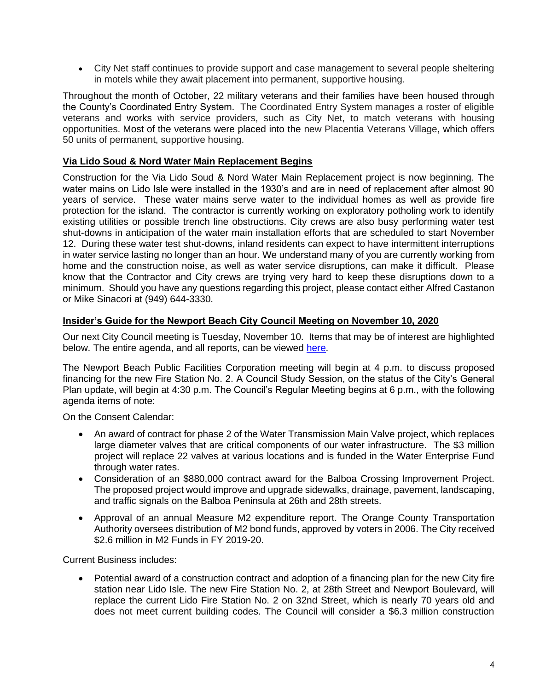• City Net staff continues to provide support and case management to several people sheltering in motels while they await placement into permanent, supportive housing.

Throughout the month of October, 22 military veterans and their families have been housed through the County's Coordinated Entry System. The Coordinated Entry System manages a roster of eligible veterans and works with service providers, such as City Net, to match veterans with housing opportunities. Most of the veterans were placed into the new Placentia Veterans Village, which offers 50 units of permanent, supportive housing.

# **Via Lido Soud & Nord Water Main Replacement Begins**

Construction for the Via Lido Soud & Nord Water Main Replacement project is now beginning. The water mains on Lido Isle were installed in the 1930's and are in need of replacement after almost 90 years of service. These water mains serve water to the individual homes as well as provide fire protection for the island. The contractor is currently working on exploratory potholing work to identify existing utilities or possible trench line obstructions. City crews are also busy performing water test shut-downs in anticipation of the water main installation efforts that are scheduled to start November 12. During these water test shut-downs, inland residents can expect to have intermittent interruptions in water service lasting no longer than an hour. We understand many of you are currently working from home and the construction noise, as well as water service disruptions, can make it difficult. Please know that the Contractor and City crews are trying very hard to keep these disruptions down to a minimum. Should you have any questions regarding this project, please contact either Alfred Castanon or Mike Sinacori at (949) 644-3330.

## **Insider's Guide for the Newport Beach City Council Meeting on November 10, 2020**

Our next City Council meeting is Tuesday, November 10. Items that may be of interest are highlighted below. The entire agenda, and all reports, can be viewed [here.](https://newportbeachca.gov/Home/Components/Calendar/Event/64237/72)

The Newport Beach Public Facilities Corporation meeting will begin at 4 p.m. to discuss proposed financing for the new Fire Station No. 2. A Council Study Session, on the status of the City's General Plan update, will begin at 4:30 p.m. The Council's Regular Meeting begins at 6 p.m., with the following agenda items of note:

On the Consent Calendar:

- An award of contract for phase 2 of the Water Transmission Main Valve project, which replaces large diameter valves that are critical components of our water infrastructure. The \$3 million project will replace 22 valves at various locations and is funded in the Water Enterprise Fund through water rates.
- Consideration of an \$880,000 contract award for the Balboa Crossing Improvement Project. The proposed project would improve and upgrade sidewalks, drainage, pavement, landscaping, and traffic signals on the Balboa Peninsula at 26th and 28th streets.
- Approval of an annual Measure M2 expenditure report. The Orange County Transportation Authority oversees distribution of M2 bond funds, approved by voters in 2006. The City received \$2.6 million in M2 Funds in FY 2019-20.

Current Business includes:

• Potential award of a construction contract and adoption of a financing plan for the new City fire station near Lido Isle. The new Fire Station No. 2, at 28th Street and Newport Boulevard, will replace the current Lido Fire Station No. 2 on 32nd Street, which is nearly 70 years old and does not meet current building codes. The Council will consider a \$6.3 million construction